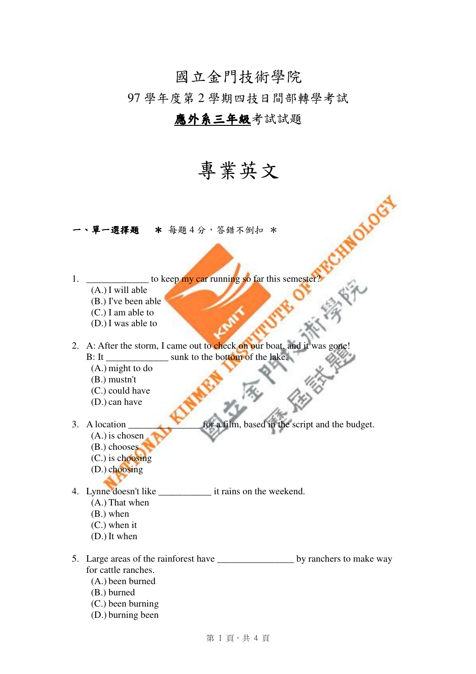## 國立金門技術學院

97 學年度第 2 學期四技日間部轉學考試

## 應外系三年級考試試題

## 專業英文

一、單一選擇題\* 每題 4 分,答錯不倒扣 \*

- 1. \_\_\_\_\_\_\_\_\_\_\_\_\_\_\_ to keep my car running so far this semester? (A.) I will able
	- (B.) I've been able
	- (C.) I am able to
	- (D.) I was able to

2. A: After the storm, I came out to check on our boat, and it was gone! B: It \_\_\_\_\_\_\_\_\_\_\_\_\_\_\_\_\_ sunk to the bottom of the lake.

- (A.) might to do
- (B.) mustn't
- (C.) could have
- (D.) can have
- 

3. A location \_\_\_\_\_\_\_\_\_\_\_\_\_\_\_ for a film, based in the script and the budget.

INOTOGY

CHINES ,

- (A.) is chosen
- (B.) chooses
- (C.) is choosing
- (D.) choosing
- 4. Lynne doesn't like \_\_\_\_\_\_\_\_\_\_\_ it rains on the weekend. (A.) That when (B.) when
	- (C.) when it
	-
	- (D.) It when
- 5. Large areas of the rainforest have by ranchers to make way for cattle ranches. (A.) been burned
	- (B.) burned
	- (C.) been burning
	- (D.) burning been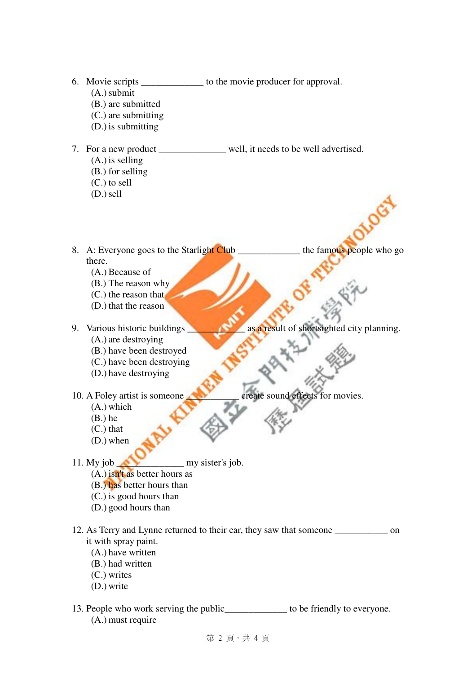- 6. Movie scripts \_\_\_\_\_\_\_\_\_\_\_\_\_ to the movie producer for approval.
	- (A.)submit
	- (B.) are submitted
	- (C.) are submitting
	- (D.) is submitting
- 7. For a new product \_\_\_\_\_\_\_\_\_\_\_\_\_\_ well, it needs to be well advertised. (A.) is selling (B.) for selling
	- (C.) to sell
	- (D.)sell
- 8. A: Everyone goes to the Starlight Club \_\_\_\_\_\_\_\_\_\_\_\_\_\_\_ the famous people who go there.
	- (A.) Because of
	- (B.) The reason why (C.) the reason that
	- (D.) that the reason
	-
- 9. Various historic buildings as a result of shortsighted city planning.
	- (A.) are destroying
	- (B.) have been destroyed
	- (C.) have been destroying
	- (D.) have destroying
- 10. A Foley artist is someone create sound effects for movies.
	- (A.) which
	- (B.) he
	- (C.) that
	- (D.) when
- 11. My job \_\_\_\_\_\_\_\_\_\_\_\_\_\_ my sister's job.
	- (A.) isn't as better hours as
	- (B.) has better hours than
	- (C.) is good hours than
	- (D.) good hours than
- 12. As Terry and Lynne returned to their car, they saw that someone on it with spray paint.
	- (A.) have written
	- (B.) had written
	- (C.) writes
	- (D.) write
- 13. People who work serving the public\_\_\_\_\_\_\_\_\_\_\_\_\_ to be friendly to everyone. (A.) must require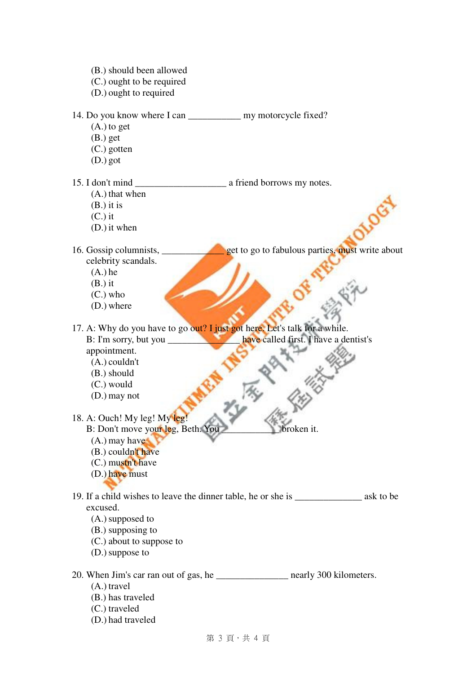第 3 頁,共 4 頁 (B.) should been allowed (C.) ought to be required (D.) ought to required 14. Do you know where I can my motorcycle fixed? (A.) to get (B.) get (C.) gotten (D.) got 15. I don't mind \_\_\_\_\_\_\_\_\_\_\_\_\_\_\_\_\_\_\_ a friend borrows my notes. (A.) that when (B.) it is (C.) it (D.) it when 16. Gossip columnists, \_\_\_\_\_\_\_\_\_\_\_\_\_ get to go to fabulous parties, must write about celebrity scandals.  $(A.)$  he (B.) it (C.) who (D.) where 17. A: Why do you have to go out? I just got here. Let's talk for a while. B: I'm sorry, but you \_\_\_\_\_\_\_\_\_\_\_\_\_\_\_\_\_\_\_\_\_\_\_\_ have called first. I have a dentist's appointment. (A.) couldn't (B.) should (C.) would (D.) may not 18. A: Ouch! My leg! My leg! B: Don't move your leg, Beth. You broken it. (A.) may have (B.) couldn't have (C.) mustn't have (D.) have must 19. If a child wishes to leave the dinner table, he or she is \_\_\_\_\_\_\_\_\_\_\_\_\_\_ ask to be excused. (A.)supposed to (B.) supposing to (C.) about to suppose to (D.)suppose to 20. When Jim's car ran out of gas, he \_\_\_\_\_\_\_\_\_\_\_\_\_\_\_ nearly 300 kilometers. (A.) travel (B.) has traveled (C.) traveled (D.) had traveled